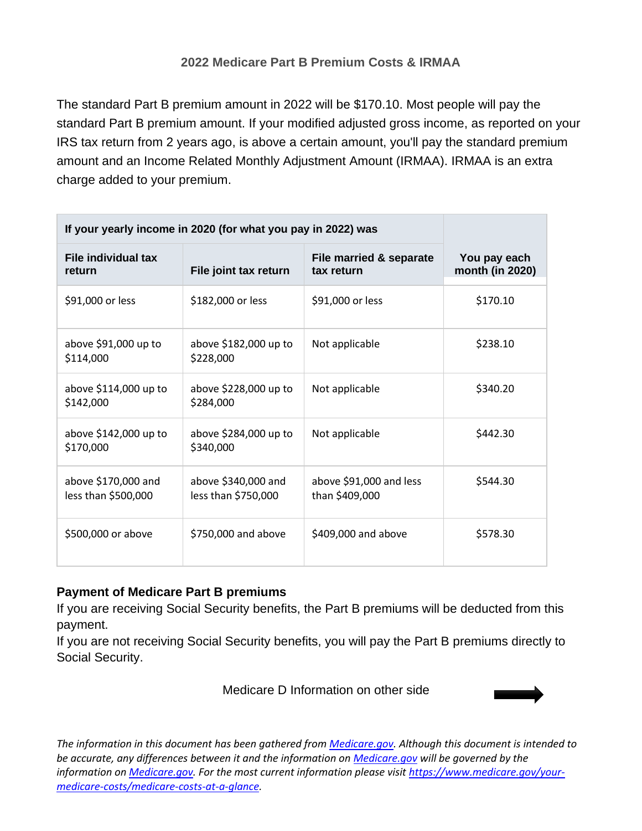## **2022 Medicare Part B Premium Costs & IRMAA**

The standard Part B premium amount in 2022 will be \$170.10. Most people will pay the standard Part B premium amount. If your modified adjusted gross income, as reported on your IRS tax return from 2 years ago, is above a certain amount, you'll pay the standard premium amount and an Income Related Monthly Adjustment Amount (IRMAA). IRMAA is an extra charge added to your premium.

| If your yearly income in 2020 (for what you pay in 2022) was |                                            |                                           |                                 |
|--------------------------------------------------------------|--------------------------------------------|-------------------------------------------|---------------------------------|
| File individual tax<br>return                                | File joint tax return                      | File married & separate<br>tax return     | You pay each<br>month (in 2020) |
| \$91,000 or less                                             | \$182,000 or less                          | \$91,000 or less                          | \$170.10                        |
| above \$91,000 up to<br>\$114,000                            | above \$182,000 up to<br>\$228,000         | Not applicable                            | \$238.10                        |
| above \$114,000 up to<br>\$142,000                           | above \$228,000 up to<br>\$284,000         | Not applicable                            | \$340.20                        |
| above \$142,000 up to<br>\$170,000                           | above \$284,000 up to<br>\$340,000         | Not applicable                            | \$442.30                        |
| above \$170,000 and<br>less than \$500,000                   | above \$340,000 and<br>less than \$750,000 | above \$91,000 and less<br>than \$409,000 | \$544.30                        |
| \$500,000 or above                                           | \$750,000 and above                        | \$409,000 and above                       | \$578.30                        |

## **Payment of Medicare Part B premiums**

If you are receiving Social Security benefits, the Part B premiums will be deducted from this payment.

If you are not receiving Social Security benefits, you will pay the Part B premiums directly to Social Security.

Medicare D Information on other side



*The information in this document has been gathered from Medicare.gov. Although this document is intended to be accurate, any differences between it and the information on Medicare.gov will be governed by the information on Medicare.gov. For the most current information please visit https://www.medicare.gov/yourmedicare-costs/medicare-costs-at-a-glance.*